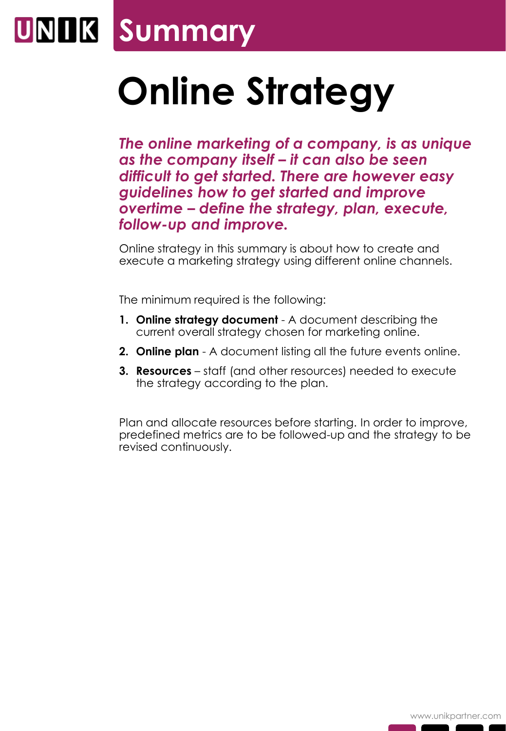### **UNIK Summary**

# **Online Strategy**

*The online marketing of a company, is as unique as the company itself – it can also be seen difficult to get started. There are however easy guidelines how to get started and improve overtime – define the strategy, plan, execute, follow-up and improve.*

Online strategy in this summary is about how to create and execute a marketing strategy using different online channels.

The minimum required is the following:

- **1. Online strategy document**  A document describing the current overall strategy chosen for marketing online.
- **2. Online plan**  A document listing all the future events online.
- **3. Resources** staff (and other resources) needed to execute the strategy according to the plan.

Plan and allocate resources before starting. In order to improve, predefined metrics are to be followed-up and the strategy to be revised continuously.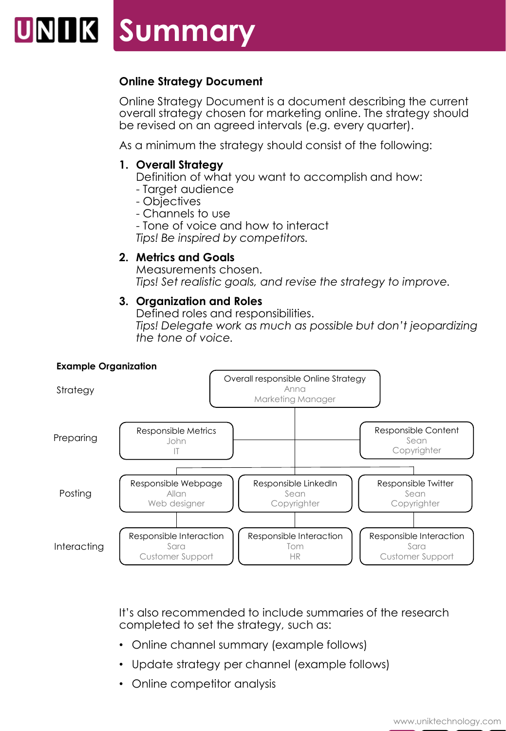## UNIK Summary

### **Online Strategy Document**

Online Strategy Document is a document describing the current overall strategy chosen for marketing online. The strategy should be revised on an agreed intervals (e.g. every quarter).

As a minimum the strategy should consist of the following:

### **1. Overall Strategy**

- Definition of what you want to accomplish and how:
- Target audience
- Objectives
- Channels to use
- Tone of voice and how to interact

*Tips! Be inspired by competitors.*

### **2. Metrics and Goals**

Measurements chosen. *Tips! Set realistic goals, and revise the strategy to improve.*

#### **3. Organization and Roles**

Defined roles and responsibilities. *Tips! Delegate work as much as possible but don't jeopardizing the tone of voice.*



It's also recommended to include summaries of the research completed to set the strategy, such as:

- Online channel summary (example follows)
- Update strategy per channel (example follows)
- Online competitor analysis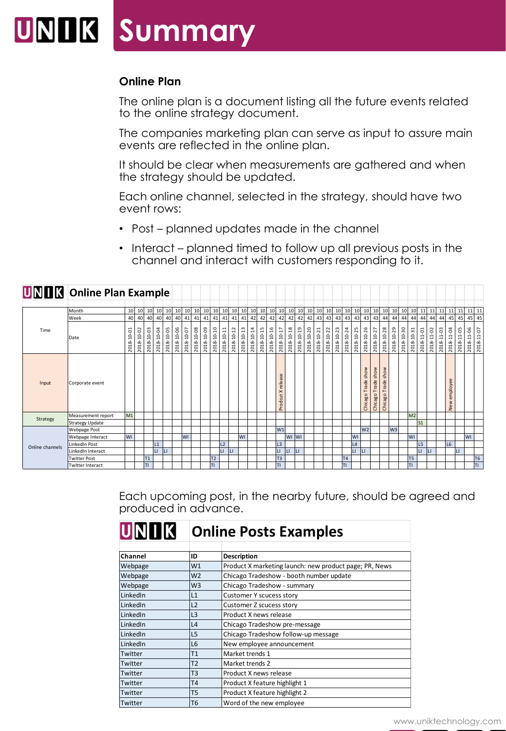### **Summary**

#### **Online Plan**

The online plan is a document listing all the future events related to the online strategy document.

The companies marketing plan can serve as input to assure main events are reflected in the online plan.

It should be clear when measurements are gathered and when the strategy should be updated.

Each online channel, selected in the strategy, should have two event rows:

- Post planned updates made in the channel
- Interact planned timed to follow up all previous posts in the channel and interact with customers responding to it.

|                 | <b>UNIM</b> Online Plan Example |                |            |            |            |            |            |            |                 |            |                |            |            |                 |                 |            |            |                                   |            |            |            |            |            |            |            |              |                                    |                    |                                       |                |            |                 |                |            |                    |                 |              |            |                |
|-----------------|---------------------------------|----------------|------------|------------|------------|------------|------------|------------|-----------------|------------|----------------|------------|------------|-----------------|-----------------|------------|------------|-----------------------------------|------------|------------|------------|------------|------------|------------|------------|--------------|------------------------------------|--------------------|---------------------------------------|----------------|------------|-----------------|----------------|------------|--------------------|-----------------|--------------|------------|----------------|
|                 | Month                           | 10             | 10         | 10         | 10         | 10         | 10         | 10         | 10 <sup>1</sup> | 10         | 10             | 10         | 10         | 10 <sup>1</sup> | 10 <sup>1</sup> | 10         | 10         | 10                                | 10         | 10         | 10         | 10         | 10         | 10         | 10         | 10           | 10                                 | 10                 | 10                                    | 10             | 10         | 10 <sup>1</sup> | 11             | 11         | 11                 | 11              | 11           | 11         | 11             |
|                 | Week                            | 40             | 40         | 40         | 40         | 40         | 40         | 41         | 41              | 41         | 41             | 41         | 41         | 41              | 42              | 42         | 42         | 42                                | 42         | 42         | 42         | 43         | 43         | 43         | 43         | 43           | 43                                 | 43                 | 44                                    | 44             | 44         | 44              | 44             | 44         | 44                 | 45              | 45           | 45         | 45             |
| Time            | <b>Date</b>                     | 2018-10-01     | 2018-10-02 | 2018-10-03 | 2018-10-04 | 2018-10-05 | 2018-10-06 | 2018-10-07 | 2018-10-08      | 2018-10-09 | 2018-10-10     | 2018-10-11 | 2018-10-12 | 2018-10-13      | 2018-10-14      | 2018-10-15 | 2018-10-16 | 2018-10-17                        | 2018-10-18 | 2018-10-19 | 2018-10-20 | 2018-10-21 | 2018-10-22 | 2018-10-23 | 2018-10-24 | 2018-10-25   | 2018-10-26                         | 2018-10-27         | 2018-10-28                            | 2018-10-29     | 2018-10-30 | 2018-10-31      | 2018-11-01     | 2018-11-02 | $11 - 03$<br>2018- | 2018-11-04      | 2018-11-05   | 2018-11-06 | 2018-11-07     |
| Input           | Corporate event                 |                |            |            |            |            |            |            |                 |            |                |            |            |                 |                 |            |            | æ<br>relea<br>$\times$<br>Prodcut |            |            |            |            |            |            |            |              | Trade show<br>Chicago <sup>-</sup> | Chicago Trade show | show<br>Trade<br>Chicago <sup>-</sup> |                |            |                 |                |            |                    | employee<br>New |              |            |                |
| Strategy        | Measurement report              | M <sub>1</sub> |            |            |            |            |            |            |                 |            |                |            |            |                 |                 |            |            |                                   |            |            |            |            |            |            |            |              |                                    |                    |                                       |                |            | M <sub>2</sub>  |                |            |                    |                 |              |            |                |
|                 | Strategy Update                 |                |            |            |            |            |            |            |                 |            |                |            |            |                 |                 |            |            |                                   |            |            |            |            |            |            |            |              |                                    |                    |                                       |                |            |                 | $\mathsf{S}1$  |            |                    |                 |              |            |                |
| Online channels | <b>Webpage Post</b>             |                |            |            |            |            |            |            |                 |            |                |            |            |                 |                 |            |            | W1                                |            |            |            |            |            |            |            |              | W <sub>2</sub>                     |                    |                                       | W <sub>3</sub> |            |                 |                |            |                    |                 |              |            |                |
|                 | Webpage Interact                | WI             |            |            |            |            |            | <b>WI</b>  |                 |            |                |            |            | <b>WI</b>       |                 |            |            |                                   | WI WI      |            |            |            |            |            |            | WI           |                                    |                    |                                       |                |            | <b>WI</b>       |                |            |                    |                 |              | WI         |                |
|                 | <b>LinkedIn Post</b>            |                |            |            | L1         |            |            |            |                 |            |                | L2         |            |                 |                 |            |            | L <sub>3</sub>                    |            |            |            |            |            |            |            | L4           |                                    |                    |                                       |                |            |                 | L <sub>5</sub> |            |                    | L6              |              |            |                |
|                 | LinkedIn Interact               |                |            |            | Ц          |            |            |            |                 |            |                | LI.        | LI         |                 |                 |            |            | LI                                | LI         | Iц         |            |            |            |            |            | $\mathsf{L}$ | LL.                                |                    |                                       |                |            |                 | LI.            | Ш          |                    |                 | $\mathsf{L}$ |            |                |
|                 | <b>Twitter Post</b>             |                |            | T1         |            |            |            |            |                 |            | T <sub>2</sub> |            |            |                 |                 |            |            | T <sub>3</sub>                    |            |            |            |            |            |            | <b>T4</b>  |              |                                    |                    |                                       |                |            | T <sub>5</sub>  |                |            |                    |                 |              |            | T <sub>6</sub> |
|                 | Twitter Interact                |                |            | TΙ         |            |            |            |            |                 |            | TI             |            |            |                 |                 |            |            | <b>TI</b>                         |            |            |            |            |            |            | TI.        |              |                                    |                    |                                       |                |            | TI              |                |            |                    |                 |              |            | lτι            |

Each upcoming post, in the nearby future, should be agreed and produced in advance.

| IUINI I IKI | <b>Online Posts Examples</b> |                                                        |  |  |  |  |  |  |  |  |  |
|-------------|------------------------------|--------------------------------------------------------|--|--|--|--|--|--|--|--|--|
|             |                              |                                                        |  |  |  |  |  |  |  |  |  |
| Channel     | ID                           | Description                                            |  |  |  |  |  |  |  |  |  |
| Webpage     | W <sub>1</sub>               | Product X marketing launch: new product page; PR, News |  |  |  |  |  |  |  |  |  |
| Webpage     | W <sub>2</sub>               | Chicago Tradeshow - booth number update                |  |  |  |  |  |  |  |  |  |
| Webpage     | W <sub>3</sub>               | Chicago Tradeshow - summary                            |  |  |  |  |  |  |  |  |  |
| LinkedIn    | L1                           | Customer Y scucess story                               |  |  |  |  |  |  |  |  |  |
| LinkedIn    | L2                           | Customer Z scucess story                               |  |  |  |  |  |  |  |  |  |
| LinkedIn    | L3                           | Product X news release                                 |  |  |  |  |  |  |  |  |  |
| LinkedIn    | L <sub>4</sub>               | Chicago Tradeshow pre-message                          |  |  |  |  |  |  |  |  |  |
| LinkedIn    | L5                           | Chicago Tradeshow follow-up message                    |  |  |  |  |  |  |  |  |  |
| LinkedIn    | L <sub>6</sub>               | New employee announcement                              |  |  |  |  |  |  |  |  |  |
| Twitter     | T1                           | Market trends 1                                        |  |  |  |  |  |  |  |  |  |
| Twitter     | T <sub>2</sub>               | Market trends 2                                        |  |  |  |  |  |  |  |  |  |
| Twitter     | T3                           | Product X news release                                 |  |  |  |  |  |  |  |  |  |
| Twitter     | T <sub>4</sub>               | Product X feature highlight 1                          |  |  |  |  |  |  |  |  |  |
| Twitter     | T5                           | Product X feature highlight 2                          |  |  |  |  |  |  |  |  |  |
| Twitter     | T <sub>6</sub>               | Word of the new employee                               |  |  |  |  |  |  |  |  |  |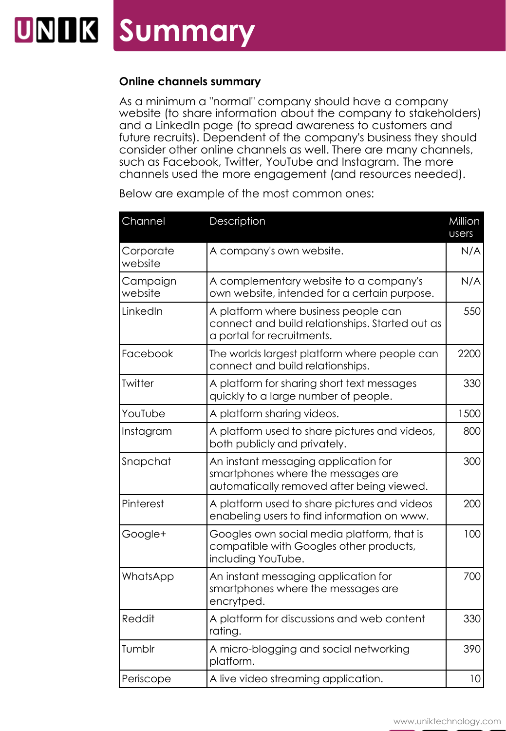### **UNIK Summary**

#### **Online channels summary**

As a minimum a "normal" company should have a company website (to share information about the company to stakeholders) and a LinkedIn page (to spread awareness to customers and future recruits). Dependent of the company's business they should consider other online channels as well. There are many channels, such as Facebook, Twitter, YouTube and Instagram. The more channels used the more engagement (and resources needed).

| Channel              | Description                                                                                                             | Million<br>users |
|----------------------|-------------------------------------------------------------------------------------------------------------------------|------------------|
| Corporate<br>website | A company's own website.                                                                                                | N/A              |
| Campaign<br>website  | A complementary website to a company's<br>own website, intended for a certain purpose.                                  | N/A              |
| LinkedIn             | A platform where business people can<br>connect and build relationships. Started out as<br>a portal for recruitments.   | 550              |
| Facebook             | The worlds largest platform where people can<br>connect and build relationships.                                        | 2200             |
| Twitter              | A platform for sharing short text messages<br>quickly to a large number of people.                                      | 330              |
| YouTube              | A platform sharing videos.                                                                                              | 1500             |
| Instagram            | A platform used to share pictures and videos,<br>both publicly and privately.                                           | 800              |
| Snapchat             | An instant messaging application for<br>smartphones where the messages are<br>automatically removed after being viewed. | 300              |
| Pinterest            | A platform used to share pictures and videos<br>enabeling users to find information on www.                             | 200              |
| Google+              | Googles own social media platform, that is<br>compatible with Googles other products,<br>including YouTube.             | 100              |
| WhatsApp             | An instant messaging application for<br>smartphones where the messages are<br>encrytped.                                | 700              |
| Reddit               | A platform for discussions and web content<br>rating.                                                                   | 330              |
| Tumblr               | A micro-blogging and social networking<br>platform.                                                                     | 390              |
| Periscope            | A live video streaming application.                                                                                     | 10 <sup>°</sup>  |

Below are example of the most common ones: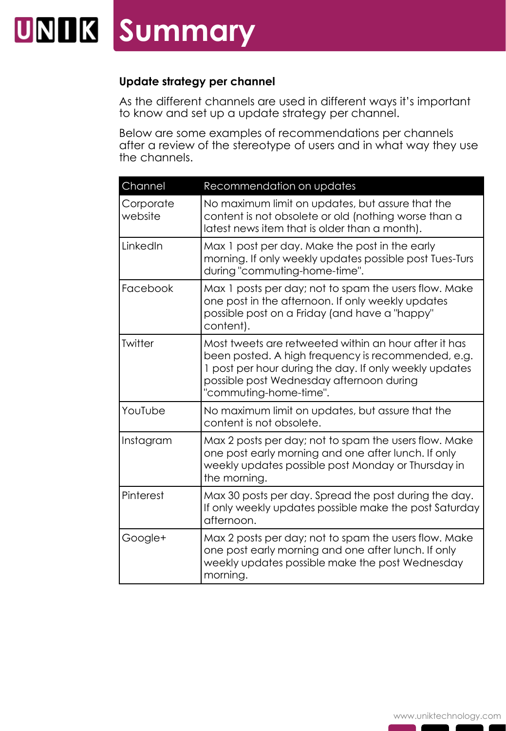### **Update strategy per channel**

As the different channels are used in different ways it's important to know and set up a update strategy per channel.

Below are some examples of recommendations per channels after a review of the stereotype of users and in what way they use the channels.

| Channel              | Recommendation on updates                                                                                                                                                                                                                   |
|----------------------|---------------------------------------------------------------------------------------------------------------------------------------------------------------------------------------------------------------------------------------------|
| Corporate<br>website | No maximum limit on updates, but assure that the<br>content is not obsolete or old (nothing worse than a<br>latest news item that is older than a month).                                                                                   |
| LinkedIn             | Max 1 post per day. Make the post in the early<br>morning. If only weekly updates possible post Tues-Turs<br>during "commuting-home-time".                                                                                                  |
| Facebook             | Max 1 posts per day; not to spam the users flow. Make<br>one post in the afternoon. If only weekly updates<br>possible post on a Friday (and have a "happy"<br>content).                                                                    |
| Twitter              | Most tweets are retweeted within an hour after it has<br>been posted. A high frequency is recommended, e.g.<br>1 post per hour during the day. If only weekly updates<br>possible post Wednesday afternoon during<br>"commuting-home-time". |
| YouTube              | No maximum limit on updates, but assure that the<br>content is not obsolete.                                                                                                                                                                |
| Instagram            | Max 2 posts per day; not to spam the users flow. Make<br>one post early morning and one after lunch. If only<br>weekly updates possible post Monday or Thursday in<br>the morning.                                                          |
| Pinterest            | Max 30 posts per day. Spread the post during the day.<br>If only weekly updates possible make the post Saturday<br>afternoon.                                                                                                               |
| Google+              | Max 2 posts per day; not to spam the users flow. Make<br>one post early morning and one after lunch. If only<br>weekly updates possible make the post Wednesday<br>morning.                                                                 |